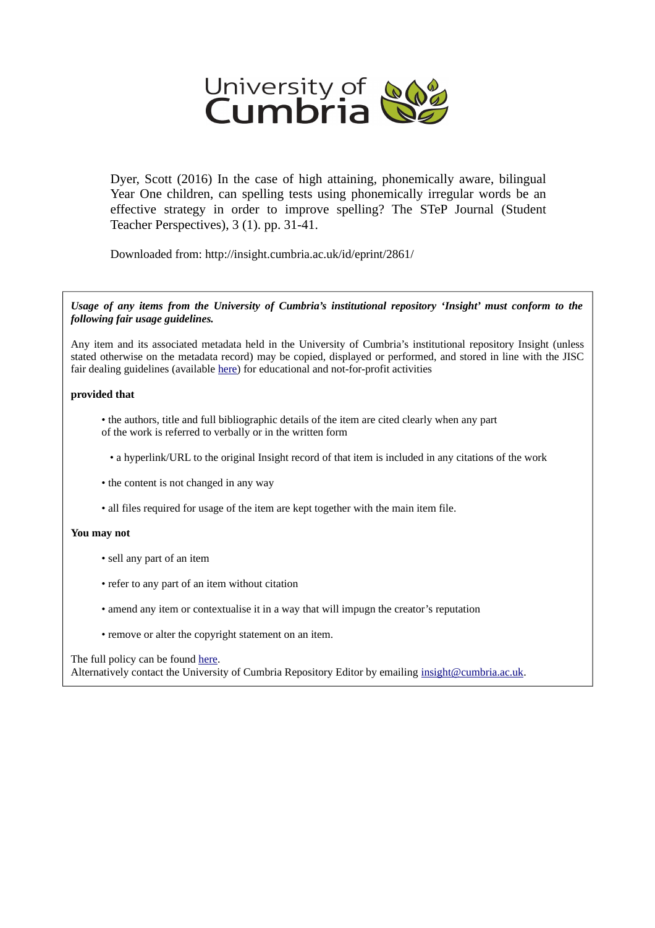

Dyer, Scott (2016) In the case of high attaining, phonemically aware, bilingual Year One children, can spelling tests using phonemically irregular words be an effective strategy in order to improve spelling? The STeP Journal (Student Teacher Perspectives), 3 (1). pp. 31-41.

Downloaded from: http://insight.cumbria.ac.uk/id/eprint/2861/

*Usage of any items from the University of Cumbria's institutional repository 'Insight' must conform to the following fair usage guidelines.*

Any item and its associated metadata held in the University of Cumbria's institutional repository Insight (unless stated otherwise on the metadata record) may be copied, displayed or performed, and stored in line with the JISC fair dealing guidelines (available [here\)](http://www.ukoln.ac.uk/services/elib/papers/pa/fair/) for educational and not-for-profit activities

#### **provided that**

• the authors, title and full bibliographic details of the item are cited clearly when any part of the work is referred to verbally or in the written form

• a hyperlink/URL to the original Insight record of that item is included in any citations of the work

- the content is not changed in any way
- all files required for usage of the item are kept together with the main item file.

#### **You may not**

- sell any part of an item
- refer to any part of an item without citation
- amend any item or contextualise it in a way that will impugn the creator's reputation
- remove or alter the copyright statement on an item.

#### The full policy can be found [here.](http://insight.cumbria.ac.uk/legal.html#section5)

Alternatively contact the University of Cumbria Repository Editor by emailing [insight@cumbria.ac.uk.](mailto:insight@cumbria.ac.uk)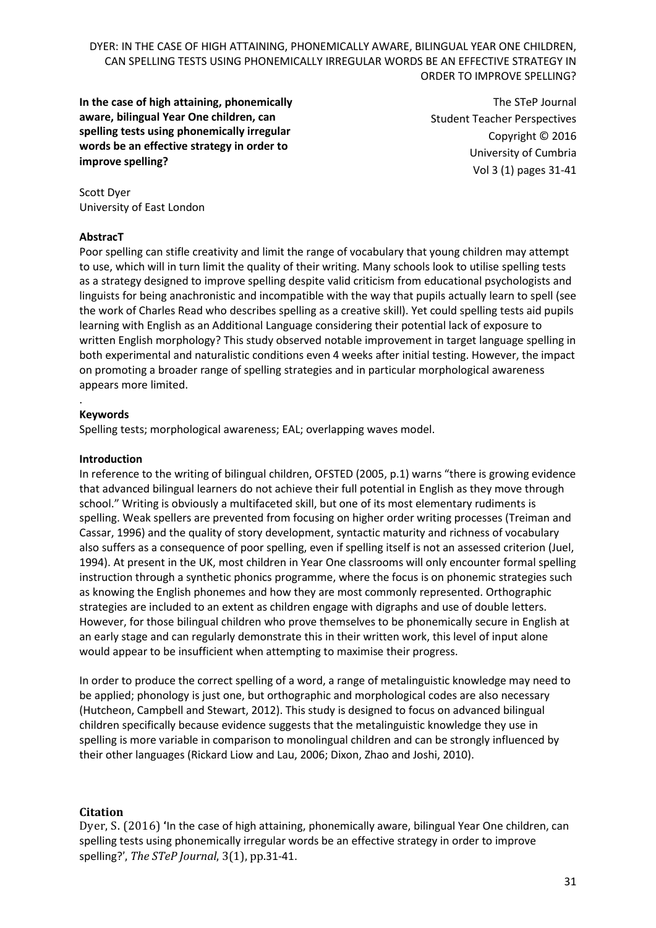**In the case of high attaining, phonemically aware, bilingual Year One children, can spelling tests using phonemically irregular words be an effective strategy in order to improve spelling?** 

The STeP Journal Student Teacher Perspectives Copyright © 2016 University of Cumbria Vol 3 (1) pages 31-41

Scott Dyer University of East London

### **AbstracT**

Poor spelling can stifle creativity and limit the range of vocabulary that young children may attempt to use, which will in turn limit the quality of their writing. Many schools look to utilise spelling tests as a strategy designed to improve spelling despite valid criticism from educational psychologists and linguists for being anachronistic and incompatible with the way that pupils actually learn to spell (see the work of Charles Read who describes spelling as a creative skill). Yet could spelling tests aid pupils learning with English as an Additional Language considering their potential lack of exposure to written English morphology? This study observed notable improvement in target language spelling in both experimental and naturalistic conditions even 4 weeks after initial testing. However, the impact on promoting a broader range of spelling strategies and in particular morphological awareness appears more limited.

#### . **Keywords**

Spelling tests; morphological awareness; EAL; overlapping waves model.

### **Introduction**

In reference to the writing of bilingual children, OFSTED (2005, p.1) warns "there is growing evidence that advanced bilingual learners do not achieve their full potential in English as they move through school." Writing is obviously a multifaceted skill, but one of its most elementary rudiments is spelling. Weak spellers are prevented from focusing on higher order writing processes (Treiman and Cassar, 1996) and the quality of story development, syntactic maturity and richness of vocabulary also suffers as a consequence of poor spelling, even if spelling itself is not an assessed criterion (Juel, 1994). At present in the UK, most children in Year One classrooms will only encounter formal spelling instruction through a synthetic phonics programme, where the focus is on phonemic strategies such as knowing the English phonemes and how they are most commonly represented. Orthographic strategies are included to an extent as children engage with digraphs and use of double letters. However, for those bilingual children who prove themselves to be phonemically secure in English at an early stage and can regularly demonstrate this in their written work, this level of input alone would appear to be insufficient when attempting to maximise their progress.

In order to produce the correct spelling of a word, a range of metalinguistic knowledge may need to be applied; phonology is just one, but orthographic and morphological codes are also necessary (Hutcheon, Campbell and Stewart, 2012). This study is designed to focus on advanced bilingual children specifically because evidence suggests that the metalinguistic knowledge they use in spelling is more variable in comparison to monolingual children and can be strongly influenced by their other languages (Rickard Liow and Lau, 2006; Dixon, Zhao and Joshi, 2010).

## **Citation**

Dyer, S. (2016) **'**In the case of high attaining, phonemically aware, bilingual Year One children, can spelling tests using phonemically irregular words be an effective strategy in order to improve spelling?', *The STeP Journal*, 3(1), pp.31-41.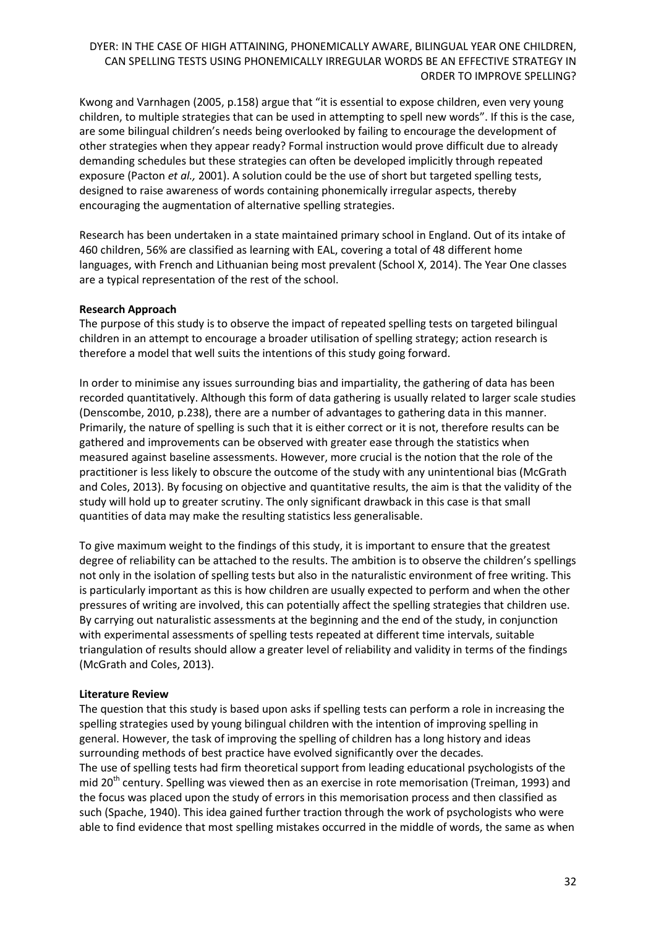Kwong and Varnhagen (2005, p.158) argue that "it is essential to expose children, even very young children, to multiple strategies that can be used in attempting to spell new words". If this is the case, are some bilingual children's needs being overlooked by failing to encourage the development of other strategies when they appear ready? Formal instruction would prove difficult due to already demanding schedules but these strategies can often be developed implicitly through repeated exposure (Pacton *et al.,* 2001). A solution could be the use of short but targeted spelling tests, designed to raise awareness of words containing phonemically irregular aspects, thereby encouraging the augmentation of alternative spelling strategies.

Research has been undertaken in a state maintained primary school in England. Out of its intake of 460 children, 56% are classified as learning with EAL, covering a total of 48 different home languages, with French and Lithuanian being most prevalent (School X, 2014). The Year One classes are a typical representation of the rest of the school.

### **Research Approach**

The purpose of this study is to observe the impact of repeated spelling tests on targeted bilingual children in an attempt to encourage a broader utilisation of spelling strategy; action research is therefore a model that well suits the intentions of this study going forward.

In order to minimise any issues surrounding bias and impartiality, the gathering of data has been recorded quantitatively. Although this form of data gathering is usually related to larger scale studies (Denscombe, 2010, p.238), there are a number of advantages to gathering data in this manner. Primarily, the nature of spelling is such that it is either correct or it is not, therefore results can be gathered and improvements can be observed with greater ease through the statistics when measured against baseline assessments. However, more crucial is the notion that the role of the practitioner is less likely to obscure the outcome of the study with any unintentional bias (McGrath and Coles, 2013). By focusing on objective and quantitative results, the aim is that the validity of the study will hold up to greater scrutiny. The only significant drawback in this case is that small quantities of data may make the resulting statistics less generalisable.

To give maximum weight to the findings of this study, it is important to ensure that the greatest degree of reliability can be attached to the results. The ambition is to observe the children's spellings not only in the isolation of spelling tests but also in the naturalistic environment of free writing. This is particularly important as this is how children are usually expected to perform and when the other pressures of writing are involved, this can potentially affect the spelling strategies that children use. By carrying out naturalistic assessments at the beginning and the end of the study, in conjunction with experimental assessments of spelling tests repeated at different time intervals, suitable triangulation of results should allow a greater level of reliability and validity in terms of the findings (McGrath and Coles, 2013).

## **Literature Review**

The question that this study is based upon asks if spelling tests can perform a role in increasing the spelling strategies used by young bilingual children with the intention of improving spelling in general. However, the task of improving the spelling of children has a long history and ideas surrounding methods of best practice have evolved significantly over the decades. The use of spelling tests had firm theoretical support from leading educational psychologists of the mid 20<sup>th</sup> century. Spelling was viewed then as an exercise in rote memorisation (Treiman, 1993) and the focus was placed upon the study of errors in this memorisation process and then classified as such (Spache, 1940). This idea gained further traction through the work of psychologists who were able to find evidence that most spelling mistakes occurred in the middle of words, the same as when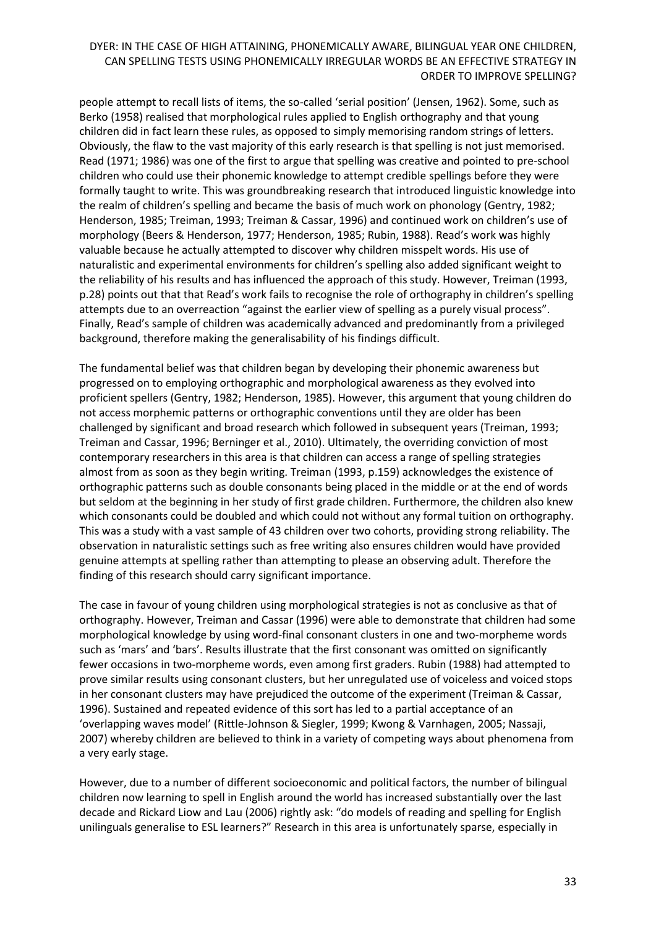people attempt to recall lists of items, the so-called 'serial position' (Jensen, 1962). Some, such as Berko (1958) realised that morphological rules applied to English orthography and that young children did in fact learn these rules, as opposed to simply memorising random strings of letters. Obviously, the flaw to the vast majority of this early research is that spelling is not just memorised. Read (1971; 1986) was one of the first to argue that spelling was creative and pointed to pre-school children who could use their phonemic knowledge to attempt credible spellings before they were formally taught to write. This was groundbreaking research that introduced linguistic knowledge into the realm of children's spelling and became the basis of much work on phonology (Gentry, 1982; Henderson, 1985; Treiman, 1993; Treiman & Cassar, 1996) and continued work on children's use of morphology (Beers & Henderson, 1977; Henderson, 1985; Rubin, 1988). Read's work was highly valuable because he actually attempted to discover why children misspelt words. His use of naturalistic and experimental environments for children's spelling also added significant weight to the reliability of his results and has influenced the approach of this study. However, Treiman (1993, p.28) points out that that Read's work fails to recognise the role of orthography in children's spelling attempts due to an overreaction "against the earlier view of spelling as a purely visual process". Finally, Read's sample of children was academically advanced and predominantly from a privileged background, therefore making the generalisability of his findings difficult.

The fundamental belief was that children began by developing their phonemic awareness but progressed on to employing orthographic and morphological awareness as they evolved into proficient spellers (Gentry, 1982; Henderson, 1985). However, this argument that young children do not access morphemic patterns or orthographic conventions until they are older has been challenged by significant and broad research which followed in subsequent years (Treiman, 1993; Treiman and Cassar, 1996; Berninger et al., 2010). Ultimately, the overriding conviction of most contemporary researchers in this area is that children can access a range of spelling strategies almost from as soon as they begin writing. Treiman (1993, p.159) acknowledges the existence of orthographic patterns such as double consonants being placed in the middle or at the end of words but seldom at the beginning in her study of first grade children. Furthermore, the children also knew which consonants could be doubled and which could not without any formal tuition on orthography. This was a study with a vast sample of 43 children over two cohorts, providing strong reliability. The observation in naturalistic settings such as free writing also ensures children would have provided genuine attempts at spelling rather than attempting to please an observing adult. Therefore the finding of this research should carry significant importance.

The case in favour of young children using morphological strategies is not as conclusive as that of orthography. However, Treiman and Cassar (1996) were able to demonstrate that children had some morphological knowledge by using word-final consonant clusters in one and two-morpheme words such as 'mars' and 'bars'. Results illustrate that the first consonant was omitted on significantly fewer occasions in two-morpheme words, even among first graders. Rubin (1988) had attempted to prove similar results using consonant clusters, but her unregulated use of voiceless and voiced stops in her consonant clusters may have prejudiced the outcome of the experiment (Treiman & Cassar, 1996). Sustained and repeated evidence of this sort has led to a partial acceptance of an 'overlapping waves model' (Rittle-Johnson & Siegler, 1999; Kwong & Varnhagen, 2005; Nassaji, 2007) whereby children are believed to think in a variety of competing ways about phenomena from a very early stage.

However, due to a number of different socioeconomic and political factors, the number of bilingual children now learning to spell in English around the world has increased substantially over the last decade and Rickard Liow and Lau (2006) rightly ask: "do models of reading and spelling for English unilinguals generalise to ESL learners?" Research in this area is unfortunately sparse, especially in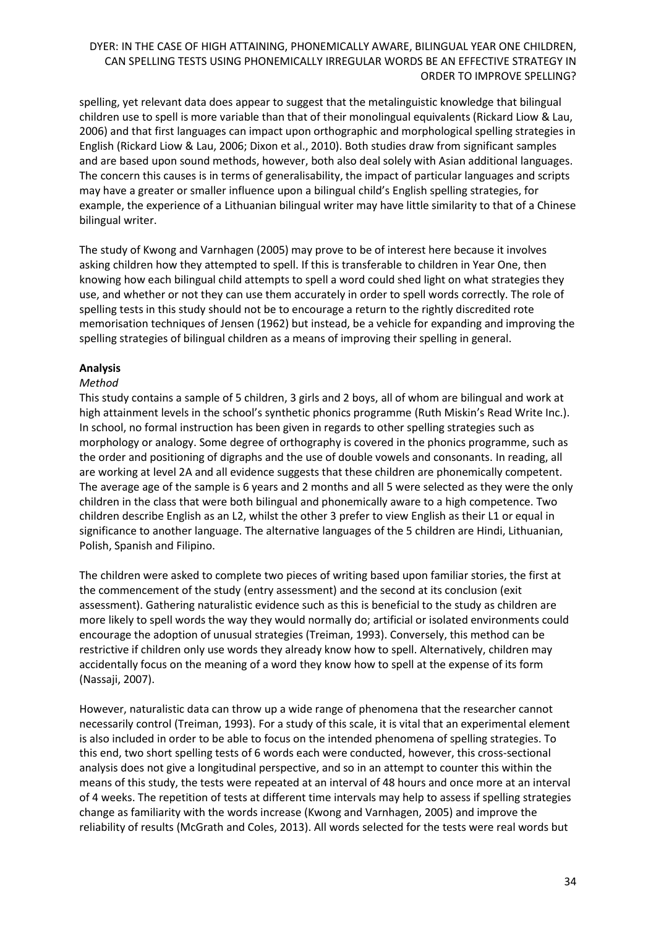spelling, yet relevant data does appear to suggest that the metalinguistic knowledge that bilingual children use to spell is more variable than that of their monolingual equivalents (Rickard Liow & Lau, 2006) and that first languages can impact upon orthographic and morphological spelling strategies in English (Rickard Liow & Lau, 2006; Dixon et al., 2010). Both studies draw from significant samples and are based upon sound methods, however, both also deal solely with Asian additional languages. The concern this causes is in terms of generalisability, the impact of particular languages and scripts may have a greater or smaller influence upon a bilingual child's English spelling strategies, for example, the experience of a Lithuanian bilingual writer may have little similarity to that of a Chinese bilingual writer.

The study of Kwong and Varnhagen (2005) may prove to be of interest here because it involves asking children how they attempted to spell. If this is transferable to children in Year One, then knowing how each bilingual child attempts to spell a word could shed light on what strategies they use, and whether or not they can use them accurately in order to spell words correctly. The role of spelling tests in this study should not be to encourage a return to the rightly discredited rote memorisation techniques of Jensen (1962) but instead, be a vehicle for expanding and improving the spelling strategies of bilingual children as a means of improving their spelling in general.

# **Analysis**

### *Method*

This study contains a sample of 5 children, 3 girls and 2 boys, all of whom are bilingual and work at high attainment levels in the school's synthetic phonics programme (Ruth Miskin's Read Write Inc.). In school, no formal instruction has been given in regards to other spelling strategies such as morphology or analogy. Some degree of orthography is covered in the phonics programme, such as the order and positioning of digraphs and the use of double vowels and consonants. In reading, all are working at level 2A and all evidence suggests that these children are phonemically competent. The average age of the sample is 6 years and 2 months and all 5 were selected as they were the only children in the class that were both bilingual and phonemically aware to a high competence. Two children describe English as an L2, whilst the other 3 prefer to view English as their L1 or equal in significance to another language. The alternative languages of the 5 children are Hindi, Lithuanian, Polish, Spanish and Filipino.

The children were asked to complete two pieces of writing based upon familiar stories, the first at the commencement of the study (entry assessment) and the second at its conclusion (exit assessment). Gathering naturalistic evidence such as this is beneficial to the study as children are more likely to spell words the way they would normally do; artificial or isolated environments could encourage the adoption of unusual strategies (Treiman, 1993). Conversely, this method can be restrictive if children only use words they already know how to spell. Alternatively, children may accidentally focus on the meaning of a word they know how to spell at the expense of its form (Nassaji, 2007).

However, naturalistic data can throw up a wide range of phenomena that the researcher cannot necessarily control (Treiman, 1993). For a study of this scale, it is vital that an experimental element is also included in order to be able to focus on the intended phenomena of spelling strategies. To this end, two short spelling tests of 6 words each were conducted, however, this cross-sectional analysis does not give a longitudinal perspective, and so in an attempt to counter this within the means of this study, the tests were repeated at an interval of 48 hours and once more at an interval of 4 weeks. The repetition of tests at different time intervals may help to assess if spelling strategies change as familiarity with the words increase (Kwong and Varnhagen, 2005) and improve the reliability of results (McGrath and Coles, 2013). All words selected for the tests were real words but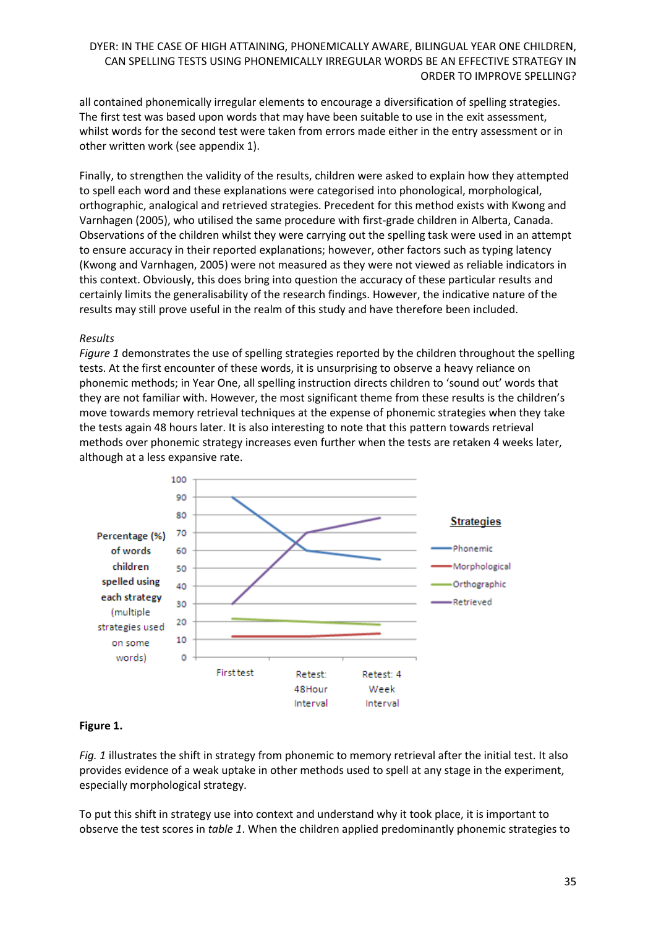all contained phonemically irregular elements to encourage a diversification of spelling strategies. The first test was based upon words that may have been suitable to use in the exit assessment, whilst words for the second test were taken from errors made either in the entry assessment or in other written work (see appendix 1).

Finally, to strengthen the validity of the results, children were asked to explain how they attempted to spell each word and these explanations were categorised into phonological, morphological, orthographic, analogical and retrieved strategies. Precedent for this method exists with Kwong and Varnhagen (2005), who utilised the same procedure with first-grade children in Alberta, Canada. Observations of the children whilst they were carrying out the spelling task were used in an attempt to ensure accuracy in their reported explanations; however, other factors such as typing latency (Kwong and Varnhagen, 2005) were not measured as they were not viewed as reliable indicators in this context. Obviously, this does bring into question the accuracy of these particular results and certainly limits the generalisability of the research findings. However, the indicative nature of the results may still prove useful in the realm of this study and have therefore been included.

#### *Results*

*Figure 1* demonstrates the use of spelling strategies reported by the children throughout the spelling tests. At the first encounter of these words, it is unsurprising to observe a heavy reliance on phonemic methods; in Year One, all spelling instruction directs children to 'sound out' words that they are not familiar with. However, the most significant theme from these results is the children's move towards memory retrieval techniques at the expense of phonemic strategies when they take the tests again 48 hours later. It is also interesting to note that this pattern towards retrieval methods over phonemic strategy increases even further when the tests are retaken 4 weeks later, although at a less expansive rate.



## **Figure 1.**

*Fig. 1* illustrates the shift in strategy from phonemic to memory retrieval after the initial test. It also provides evidence of a weak uptake in other methods used to spell at any stage in the experiment, especially morphological strategy.

To put this shift in strategy use into context and understand why it took place, it is important to observe the test scores in *table 1*. When the children applied predominantly phonemic strategies to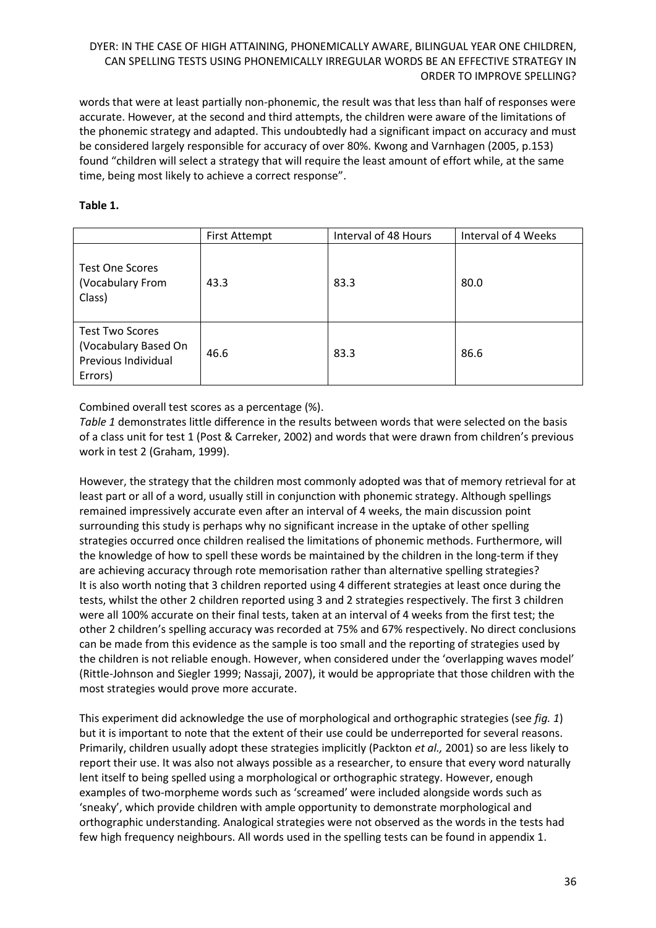words that were at least partially non-phonemic, the result was that less than half of responses were accurate. However, at the second and third attempts, the children were aware of the limitations of the phonemic strategy and adapted. This undoubtedly had a significant impact on accuracy and must be considered largely responsible for accuracy of over 80%. Kwong and Varnhagen (2005, p.153) found "children will select a strategy that will require the least amount of effort while, at the same time, being most likely to achieve a correct response".

### **Table 1.**

|                                                                                  | <b>First Attempt</b> | Interval of 48 Hours | Interval of 4 Weeks |
|----------------------------------------------------------------------------------|----------------------|----------------------|---------------------|
| <b>Test One Scores</b><br>(Vocabulary From<br>Class)                             | 43.3                 | 83.3                 | 80.0                |
| <b>Test Two Scores</b><br>(Vocabulary Based On<br>Previous Individual<br>Errors) | 46.6                 | 83.3                 | 86.6                |

Combined overall test scores as a percentage (%).

*Table 1* demonstrates little difference in the results between words that were selected on the basis of a class unit for test 1 (Post & Carreker, 2002) and words that were drawn from children's previous work in test 2 (Graham, 1999).

However, the strategy that the children most commonly adopted was that of memory retrieval for at least part or all of a word, usually still in conjunction with phonemic strategy. Although spellings remained impressively accurate even after an interval of 4 weeks, the main discussion point surrounding this study is perhaps why no significant increase in the uptake of other spelling strategies occurred once children realised the limitations of phonemic methods. Furthermore, will the knowledge of how to spell these words be maintained by the children in the long-term if they are achieving accuracy through rote memorisation rather than alternative spelling strategies? It is also worth noting that 3 children reported using 4 different strategies at least once during the tests, whilst the other 2 children reported using 3 and 2 strategies respectively. The first 3 children were all 100% accurate on their final tests, taken at an interval of 4 weeks from the first test; the other 2 children's spelling accuracy was recorded at 75% and 67% respectively. No direct conclusions can be made from this evidence as the sample is too small and the reporting of strategies used by the children is not reliable enough. However, when considered under the 'overlapping waves model' (Rittle-Johnson and Siegler 1999; Nassaji, 2007), it would be appropriate that those children with the most strategies would prove more accurate.

This experiment did acknowledge the use of morphological and orthographic strategies (see *fig. 1*) but it is important to note that the extent of their use could be underreported for several reasons. Primarily, children usually adopt these strategies implicitly (Packton *et al.,* 2001) so are less likely to report their use. It was also not always possible as a researcher, to ensure that every word naturally lent itself to being spelled using a morphological or orthographic strategy. However, enough examples of two-morpheme words such as 'screamed' were included alongside words such as 'sneaky', which provide children with ample opportunity to demonstrate morphological and orthographic understanding. Analogical strategies were not observed as the words in the tests had few high frequency neighbours. All words used in the spelling tests can be found in appendix 1.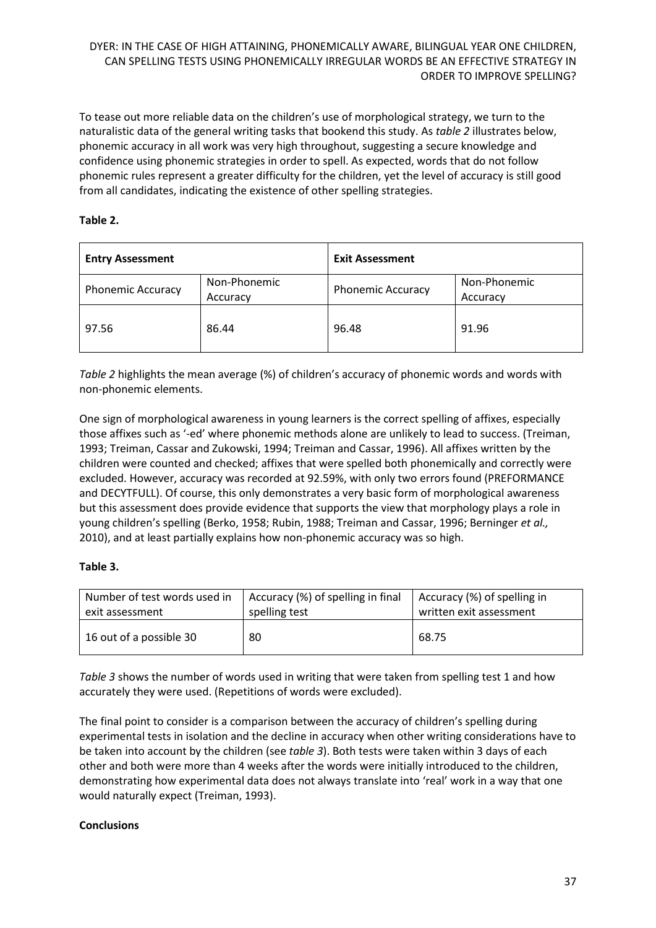To tease out more reliable data on the children's use of morphological strategy, we turn to the naturalistic data of the general writing tasks that bookend this study. As *table 2* illustrates below, phonemic accuracy in all work was very high throughout, suggesting a secure knowledge and confidence using phonemic strategies in order to spell. As expected, words that do not follow phonemic rules represent a greater difficulty for the children, yet the level of accuracy is still good from all candidates, indicating the existence of other spelling strategies.

## **Table 2.**

| <b>Entry Assessment</b>  |                          | <b>Exit Assessment</b>   |                          |  |
|--------------------------|--------------------------|--------------------------|--------------------------|--|
| <b>Phonemic Accuracy</b> | Non-Phonemic<br>Accuracy | <b>Phonemic Accuracy</b> | Non-Phonemic<br>Accuracy |  |
| 97.56                    | 86.44                    | 96.48                    | 91.96                    |  |

*Table 2* highlights the mean average (%) of children's accuracy of phonemic words and words with non-phonemic elements.

One sign of morphological awareness in young learners is the correct spelling of affixes, especially those affixes such as '-ed' where phonemic methods alone are unlikely to lead to success. (Treiman, 1993; Treiman, Cassar and Zukowski, 1994; Treiman and Cassar, 1996). All affixes written by the children were counted and checked; affixes that were spelled both phonemically and correctly were excluded. However, accuracy was recorded at 92.59%, with only two errors found (PREFORMANCE and DECYTFULL). Of course, this only demonstrates a very basic form of morphological awareness but this assessment does provide evidence that supports the view that morphology plays a role in young children's spelling (Berko, 1958; Rubin, 1988; Treiman and Cassar, 1996; Berninger *et al.,*  2010), and at least partially explains how non-phonemic accuracy was so high.

## **Table 3.**

| Number of test words used in | Accuracy (%) of spelling in final | Accuracy (%) of spelling in |
|------------------------------|-----------------------------------|-----------------------------|
| exit assessment              | spelling test                     | written exit assessment     |
| 16 out of a possible 30      | 80                                | 68.75                       |

*Table 3* shows the number of words used in writing that were taken from spelling test 1 and how accurately they were used. (Repetitions of words were excluded).

The final point to consider is a comparison between the accuracy of children's spelling during experimental tests in isolation and the decline in accuracy when other writing considerations have to be taken into account by the children (see *table 3*). Both tests were taken within 3 days of each other and both were more than 4 weeks after the words were initially introduced to the children, demonstrating how experimental data does not always translate into 'real' work in a way that one would naturally expect (Treiman, 1993).

#### **Conclusions**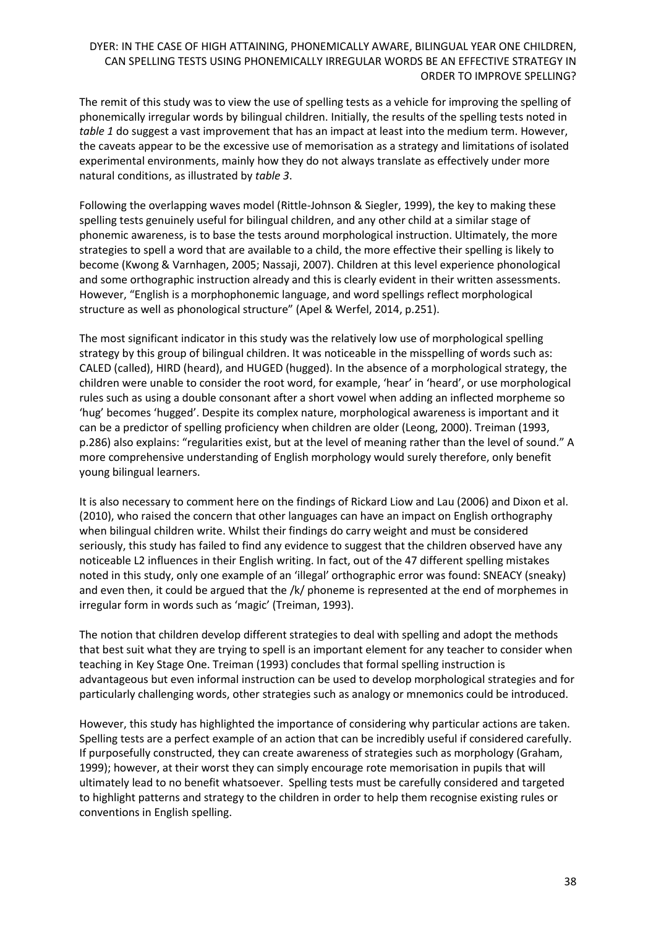The remit of this study was to view the use of spelling tests as a vehicle for improving the spelling of phonemically irregular words by bilingual children. Initially, the results of the spelling tests noted in *table 1* do suggest a vast improvement that has an impact at least into the medium term. However, the caveats appear to be the excessive use of memorisation as a strategy and limitations of isolated experimental environments, mainly how they do not always translate as effectively under more natural conditions, as illustrated by *table 3*.

Following the overlapping waves model (Rittle-Johnson & Siegler, 1999), the key to making these spelling tests genuinely useful for bilingual children, and any other child at a similar stage of phonemic awareness, is to base the tests around morphological instruction. Ultimately, the more strategies to spell a word that are available to a child, the more effective their spelling is likely to become (Kwong & Varnhagen, 2005; Nassaji, 2007). Children at this level experience phonological and some orthographic instruction already and this is clearly evident in their written assessments. However, "English is a morphophonemic language, and word spellings reflect morphological structure as well as phonological structure" (Apel & Werfel, 2014, p.251).

The most significant indicator in this study was the relatively low use of morphological spelling strategy by this group of bilingual children. It was noticeable in the misspelling of words such as: CALED (called), HIRD (heard), and HUGED (hugged). In the absence of a morphological strategy, the children were unable to consider the root word, for example, 'hear' in 'heard', or use morphological rules such as using a double consonant after a short vowel when adding an inflected morpheme so 'hug' becomes 'hugged'. Despite its complex nature, morphological awareness is important and it can be a predictor of spelling proficiency when children are older (Leong, 2000). Treiman (1993, p.286) also explains: "regularities exist, but at the level of meaning rather than the level of sound." A more comprehensive understanding of English morphology would surely therefore, only benefit young bilingual learners.

It is also necessary to comment here on the findings of Rickard Liow and Lau (2006) and Dixon et al. (2010), who raised the concern that other languages can have an impact on English orthography when bilingual children write. Whilst their findings do carry weight and must be considered seriously, this study has failed to find any evidence to suggest that the children observed have any noticeable L2 influences in their English writing. In fact, out of the 47 different spelling mistakes noted in this study, only one example of an 'illegal' orthographic error was found: SNEACY (sneaky) and even then, it could be argued that the /k/ phoneme is represented at the end of morphemes in irregular form in words such as 'magic' (Treiman, 1993).

The notion that children develop different strategies to deal with spelling and adopt the methods that best suit what they are trying to spell is an important element for any teacher to consider when teaching in Key Stage One. Treiman (1993) concludes that formal spelling instruction is advantageous but even informal instruction can be used to develop morphological strategies and for particularly challenging words, other strategies such as analogy or mnemonics could be introduced.

However, this study has highlighted the importance of considering why particular actions are taken. Spelling tests are a perfect example of an action that can be incredibly useful if considered carefully. If purposefully constructed, they can create awareness of strategies such as morphology (Graham, 1999); however, at their worst they can simply encourage rote memorisation in pupils that will ultimately lead to no benefit whatsoever. Spelling tests must be carefully considered and targeted to highlight patterns and strategy to the children in order to help them recognise existing rules or conventions in English spelling.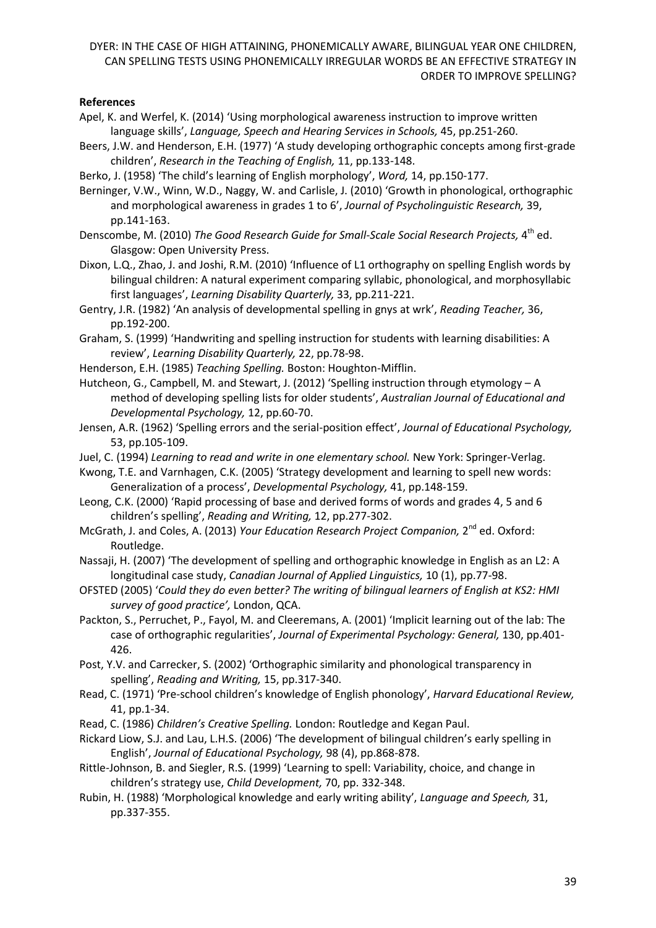### **References**

- Apel, K. and Werfel, K. (2014) 'Using morphological awareness instruction to improve written language skills', *Language, Speech and Hearing Services in Schools,* 45, pp.251-260.
- Beers, J.W. and Henderson, E.H. (1977) 'A study developing orthographic concepts among first-grade children', *Research in the Teaching of English,* 11, pp.133-148.
- Berko, J. (1958) 'The child's learning of English morphology', *Word,* 14, pp.150-177.
- Berninger, V.W., Winn, W.D., Naggy, W. and Carlisle, J. (2010) 'Growth in phonological, orthographic and morphological awareness in grades 1 to 6', *Journal of Psycholinguistic Research,* 39, pp.141-163.
- Denscombe, M. (2010) The Good Research Guide for Small-Scale Social Research Projects, 4<sup>th</sup> ed. Glasgow: Open University Press.
- Dixon, L.Q., Zhao, J. and Joshi, R.M. (2010) 'Influence of L1 orthography on spelling English words by bilingual children: A natural experiment comparing syllabic, phonological, and morphosyllabic first languages', *Learning Disability Quarterly,* 33, pp.211-221.
- Gentry, J.R. (1982) 'An analysis of developmental spelling in gnys at wrk', *Reading Teacher,* 36, pp.192-200.
- Graham, S. (1999) 'Handwriting and spelling instruction for students with learning disabilities: A review', *Learning Disability Quarterly,* 22, pp.78-98.
- Henderson, E.H. (1985) *Teaching Spelling.* Boston: Houghton-Mifflin.
- Hutcheon, G., Campbell, M. and Stewart, J. (2012) 'Spelling instruction through etymology A method of developing spelling lists for older students', *Australian Journal of Educational and Developmental Psychology,* 12, pp.60-70.
- Jensen, A.R. (1962) 'Spelling errors and the serial-position effect', *Journal of Educational Psychology,*  53, pp.105-109.
- Juel, C. (1994) *Learning to read and write in one elementary school.* New York: Springer-Verlag.
- Kwong, T.E. and Varnhagen, C.K. (2005) 'Strategy development and learning to spell new words: Generalization of a process', *Developmental Psychology,* 41, pp.148-159.
- Leong, C.K. (2000) 'Rapid processing of base and derived forms of words and grades 4, 5 and 6 children's spelling', *Reading and Writing,* 12, pp.277-302.
- McGrath, J. and Coles, A. (2013) *Your Education Research Project Companion,* 2<sup>nd</sup> ed. Oxford: Routledge.
- Nassaji, H. (2007) 'The development of spelling and orthographic knowledge in English as an L2: A longitudinal case study, *Canadian Journal of Applied Linguistics,* 10 (1), pp.77-98.
- OFSTED (2005) '*Could they do even better? The writing of bilingual learners of English at KS2: HMI survey of good practice',* London, QCA.
- Packton, S., Perruchet, P., Fayol, M. and Cleeremans, A. (2001) 'Implicit learning out of the lab: The case of orthographic regularities', *Journal of Experimental Psychology: General,* 130, pp.401- 426.
- Post, Y.V. and Carrecker, S. (2002) 'Orthographic similarity and phonological transparency in spelling', *Reading and Writing,* 15, pp.317-340.
- Read, C. (1971) 'Pre-school children's knowledge of English phonology', *Harvard Educational Review,*  41, pp.1-34.
- Read, C. (1986) *Children's Creative Spelling.* London: Routledge and Kegan Paul.
- Rickard Liow, S.J. and Lau, L.H.S. (2006) 'The development of bilingual children's early spelling in English', *Journal of Educational Psychology,* 98 (4), pp.868-878.
- Rittle-Johnson, B. and Siegler, R.S. (1999) 'Learning to spell: Variability, choice, and change in children's strategy use, *Child Development,* 70, pp. 332-348.
- Rubin, H. (1988) 'Morphological knowledge and early writing ability', *Language and Speech,* 31, pp.337-355.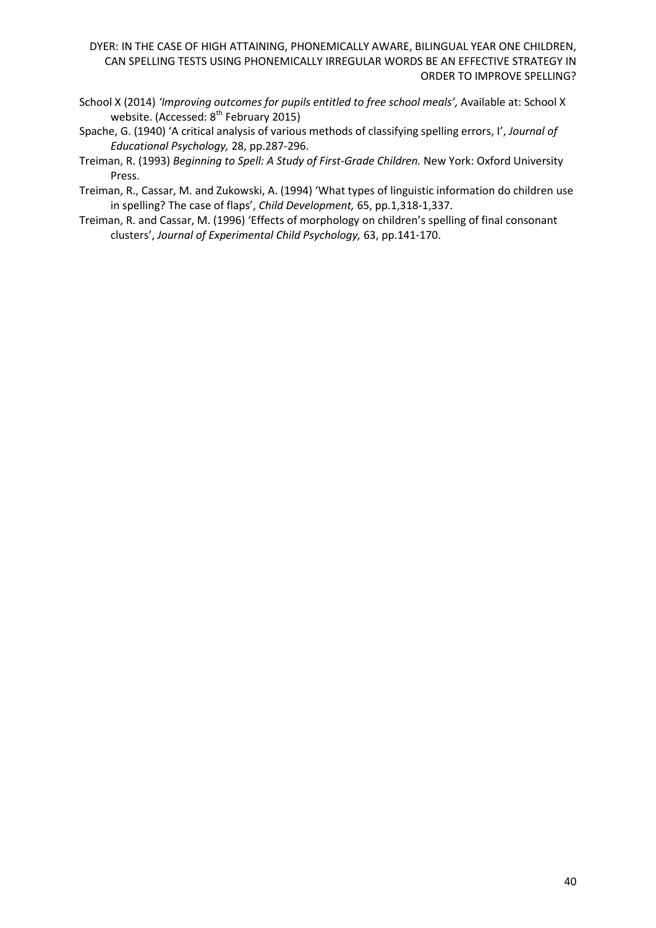- School X (2014) *'Improving outcomes for pupils entitled to free school meals',* Available at: School X website. (Accessed: 8<sup>th</sup> February 2015)
- Spache, G. (1940) 'A critical analysis of various methods of classifying spelling errors, I', *Journal of Educational Psychology,* 28, pp.287-296.
- Treiman, R. (1993) *Beginning to Spell: A Study of First-Grade Children.* New York: Oxford University Press.
- Treiman, R., Cassar, M. and Zukowski, A. (1994) 'What types of linguistic information do children use in spelling? The case of flaps', *Child Development,* 65, pp.1,318-1,337.
- Treiman, R. and Cassar, M. (1996) 'Effects of morphology on children's spelling of final consonant clusters', *Journal of Experimental Child Psychology,* 63, pp.141-170.